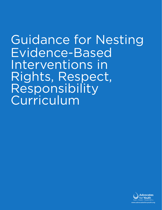Guidance for Nesting Evidence-Based Interventions in Rights, Respect, Responsibility Curriculum

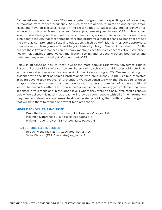Evidence-based interventions (EBIs) are targeted programs with a specific goal of preventing or reducing rates of teen pregnancy. As such they are generally limited to one or two grade levels and have an exclusive focus on the skills needed to successfully impact behavior to achieve this outcome. Some states and federal programs require the use of EBIs while others select to use them given their past success at impacting a specific behavioral outcome. There is no debate though that these specific, targeted programs aimed at changing behavior are not the same as comprehensive sexuality education, which by definition is K-12, age-appropriate, foundational, culturally relevant and fully inclusive by design. We, at Advocates for Youth, believe these two approaches can be complimentary since the core concepts about sexuality – healthy relationships, effective communication, setting and respecting others' boundaries and basic anatomy – are critical yet often not part of EBIs.

Below is guidance on how to "nest" five of the most popular EBIs within Advocates' Rights, Respect, Responsibility K-12 curriculum. By so doing, schools are able to provide students with a comprehensive sex education curriculum while also using an EBI. We are providing this guidance with the goal of helping professionals who are currently using EBIs but interested in going beyond teen pregnancy prevention. We have consulted with the developers of these programs since no research has been conducted to assess the impact of adding additional lessons before and/or after EBIs. In, order best preserve the EBIs we suggest implementing them in consecutive lessons and in the grade levels where they were originally evaluated as shown below. We believe this nesting approach will provide young people with all of the information they need and deserve about sexual health while also providing them with targeted programs that will help them to reduce or prevent teen pregnancy.

# **MIDDLE SCHOOL EBIS INCLUDED:**

Draw the Line/Respect the Line (ETR Associates) *pages 3-4* Making a Difference (ETR Associates) *pages 5-6* Making Proud Choices (ETR Associates) *pages 7-8*

### **HIGH SCHOOL EBIS INCLUDED:**

Reducing the Risk (ETR Associates) *pages 9-10* Safer Choices (ETR Associates) *pages 11-12*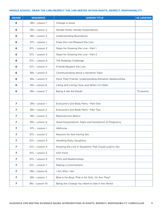## **MIDDLE SCHOOL: DRAW THE LINE/RESPECT THE LINE NESTED WITHIN RIGHTS, RESPECT, RESPONSIBILITY**

| <b>GRADE</b>             | <b>SEQUENCE</b> | <b>LESSON TITLE</b>                                     | <b>42 LESSONS</b> |
|--------------------------|-----------------|---------------------------------------------------------|-------------------|
| 6                        | 3Rs - Lesson 1  | Change is Good                                          |                   |
| 6                        | 3Rs - Lesson 2  | Gender Roles, Gender Expectations                       |                   |
| 6                        | 3Rs - Lesson 3  | <b>Understanding Boundaries</b>                         |                   |
| 6                        | DTL - Lesson 1  | Draw the Line/Respect the Line                          |                   |
| 6                        | DTL - Lesson 2  | Steps for Drawing the Line - Part 1                     |                   |
| 6                        | DTL - Lesson 3  | Steps for Drawing the Line - Part 2                     |                   |
| 6                        | DTL - Lesson 4  | The Roleplay Challenge                                  |                   |
| 6                        | DTL - Lesson 5  | Friends Respect the Line                                |                   |
| 6                        | 3Rs - Lesson 4  | Communicating about a Sensitive Topic                   |                   |
| 6                        | 3Rs - Lesson 5  | More Than Friends: Understanding Romantic Relationships |                   |
| 6                        | 3Rs - Lesson 6  | Liking and Loving: Now and When I'm Older               |                   |
| 6                        | 3Rs - Lesson 7  | Being A Sex Ed Sleuth                                   | 12 lessons        |
|                          |                 |                                                         |                   |
| $\mathbf{7}$             | 3Rs - Lesson 1  | Everyone's Got Body Parts - Part One                    |                   |
| $\overline{ }$           | 3Rs - Lesson 2  | Everyone's Got Body Parts - Part Two                    |                   |
| 7                        | 3Rs - Lesson 3  | <b>Reproduction Basics</b>                              |                   |
| 7                        | 3Rs - Lesson 4  | Great Expectations: Signs and Symptoms of Pregnancy     |                   |
| $\overline{ }$           | DTL - Lesson 1  | Welcome                                                 |                   |
| 7                        | DTL - Lesson 2  | Reasons for Not Having Sex                              |                   |
| $\overline{7}$           | DTL - Lesson 3  | <b>Handling Risky Situations</b>                        |                   |
| $\overline{7}$           | DTL - Lesson 4  | Drawing the Line in Situations That Could Lead to Sex   |                   |
| $\overline{7}$           | DTL - Lesson 5  | <b>STD Facts</b>                                        |                   |
| $\overline{7}$           | DTL - Lesson 6  | STDs and Realtionships                                  |                   |
| $\overline{ }$           | DTL - Lesson 7  | Making a Commitment                                     |                   |
| $\overline{7}$           | 3Rs - Lesson 6  | I Am Who I Am                                           |                   |
| $\overline{\mathbf{z}}$  | 3Rs - Lesson 7  | Blue is for Boys, Pink is for Girls Or Are They?        |                   |
| $\overline{\phantom{a}}$ | 3Rs - Lesson 10 | Being the Change You Want to See in the World           |                   |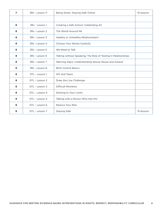| $\overline{z}$ | 3Rs - Lesson 11 | Being Smart, Staying Safe Online                               | 15 lessons |
|----------------|-----------------|----------------------------------------------------------------|------------|
|                |                 |                                                                |            |
| 8              | 3Rs - Lesson 1  | Creating a Safe School: Celebrating All                        |            |
| 8              | 3Rs - Lesson 2  | The World Around Me                                            |            |
| 8              | 3Rs - Lesson 3  | Healthy or Unhealthy Relationships?                            |            |
| 8              | 3Rs - Lesson 4  | Choose Your Words Carefully                                    |            |
| 8              | 3Rs - Lesson 5  | We Need to Talk                                                |            |
| 8              | 3Rs - Lesson 6  | Talking without Speaking: The Role of Texting In Relationships |            |
| 8              | 3Rs - Lesson 7  | Warning Signs: Understanding Sexual Abuse and Assault          |            |
| 8              | 3Rs - Lesson 8  | <b>Birth Control Basics</b>                                    |            |
| 8              | DTL - Lesson 1  | HIV and Teens                                                  |            |
| 8              | DTL - Lesson 2  | Draw the Line Challenge                                        |            |
| 8              | DTL - Lesson 3  | <b>Difficult Moments</b>                                       |            |
| 8              | DTL - Lesson 4  | Sticking to Your Limits                                        |            |
| 8              | DTL - Lesson 5  | Talking with a Person Who Has HIV                              |            |
| 8              | DTL - Lesson 6  | Reduce Your Risk                                               |            |
| 8              | DTL - Lesson 7  | Staying Safe                                                   | 15 lessons |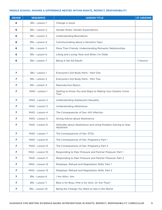## **MIDDLE SCHOOL: MAKING A DIFFERENCE NESTED WITHIN RIGHTS, RESPECT, RESPONSIBILITY**

| <b>GRADE</b>   | <b>SEQUENCE</b> | <b>LESSON TITLE</b>                                                       | <b>37 LESSONS</b> |
|----------------|-----------------|---------------------------------------------------------------------------|-------------------|
| 6              | 3Rs - Lesson 1  | Change is Good                                                            |                   |
| 6              | 3Rs - Lesson 2  | Gender Roles, Gender Expectations                                         |                   |
| 6              | 3Rs - Lesson 3  | <b>Understanding Boundaries</b>                                           |                   |
| 6              | 3Rs - Lesson 4  | Communicating about a Sensitive Topic                                     |                   |
| 6              | 3Rs - Lesson 5  | More Than Friends: Understanding Romantic Relationships                   |                   |
| 6              | 3Rs - Lesson 6  | Liking and Loving: Now and When I'm Older                                 |                   |
| 6              | 3Rs - Lesson 7  | Being A Sex Ed Sleuth                                                     | 7 lessons         |
|                |                 |                                                                           |                   |
| $\overline{ }$ | 3Rs - Lesson 1  | Everyone's Got Body Parts - Part One                                      |                   |
| $\overline{ }$ | 3Rs - Lesson 2  | Everyone's Got Body Parts - Part Two                                      |                   |
| 7              | 3Rs - Lesson 3  | <b>Reproduction Basics</b>                                                |                   |
| 7              | MAD - Lesson 1  | Getting to Know You and Steps to Making Your Dreams Come<br><b>True</b>   |                   |
| $\overline{ }$ | MAD - Lesson 2  | Understanding Adolescent Sexuality                                        |                   |
| 7              | MAD - Lesson 3  | <b>Understanding Abstinence</b>                                           |                   |
| $\overline{ }$ | MAD - Lesson 4  | The Consequences of Sex: HIV Infection                                    |                   |
| 7              | MAD - Lesson 5  | Giving Advice about Abstinence                                            |                   |
| $\overline{ }$ | MAD - Lesson 6  | Attitudes about Abstinence and Using Problem Solving to Stay<br>Abstinent |                   |
| 7              | MAD - Lesson 7  | The Consequences of Sex: STDs                                             |                   |
| 7              | MAD - Lesson 8  | The Consequences of Sex: Pregnancy Part 1                                 |                   |
| 7              | MAD - Lesson 9  | The Consequences of Sex: Pregnancy Part 2                                 |                   |
| 7              | MAD - Lesson 10 | Responding to Peer Pressure and Partner Pressure: Part 1                  |                   |
| 7              | MAD - Lesson 11 | Responding to Peer Pressure and Partner Pressure: Part 2                  |                   |
| 7              | MAD - Lesson 12 | Roleplays: Refusal and Negotiation Skills: Part 1                         |                   |
| 7              | MAD - Lesson 13 | Roleplays: Refusal and Negotiation Skills: Part 2                         |                   |
| 7              | 3Rs - Lesson 6  | I Am Who I Am                                                             |                   |
| $\overline{ }$ | 3Rs - Lesson 7  | Blue is for Boys, Pink is for Girls Or Are They?                          |                   |
| 7              | 3Rs - Lesson 10 | Being the Change You Want to See in the World                             |                   |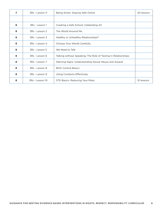| 7 | 3Rs - Lesson 11 | Being Smart, Staying Safe Online                               | 20 lessons |
|---|-----------------|----------------------------------------------------------------|------------|
|   |                 |                                                                |            |
| 8 | 3Rs - Lesson 1  | Creating a Safe School: Celebrating All                        |            |
| 8 | 3Rs - Lesson 2  | The World Around Me                                            |            |
| 8 | 3Rs - Lesson 3  | Healthy or Unhealthy Relationships?                            |            |
| 8 | 3Rs - Lesson 4  | Choose Your Words Carefully                                    |            |
| 8 | 3Rs - Lesson 5  | We Need to Talk                                                |            |
| 8 | 3Rs - Lesson 6  | Talking without Speaking: The Role of Texting In Relationships |            |
| 8 | 3Rs - Lesson 7  | Warning Signs: Understanding Sexual Abuse and Assault          |            |
| 8 | 3Rs - Lesson 8  | <b>Birth Control Basics</b>                                    |            |
| 8 | 3Rs - Lesson 9  | Using Condoms Effectively                                      |            |
| 8 | 3Rs - Lesson 10 | STD Basics: Reducing Your Risks                                | 10 lessons |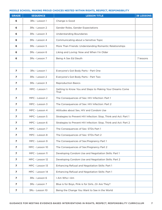## **MIDDLE SCHOOL: MAKING PROUD CHOICES NESTED WITHIN RIGHTS, RESPECT, RESPONSIBILITY**

| <b>GRADE</b>   | <b>SEQUENCE</b> | <b>LESSON TITLE</b>                                              | <b>38 LESSONS</b> |
|----------------|-----------------|------------------------------------------------------------------|-------------------|
| 6              | 3Rs - Lesson 1  | Change is Good                                                   |                   |
| 6              | 3Rs - Lesson 2  | Gender Roles, Gender Expectations                                |                   |
| 6              | 3Rs - Lesson 3  | <b>Understanding Boundaries</b>                                  |                   |
| 6              | 3Rs - Lesson 4  | Communicating about a Sensitive Topic                            |                   |
| 6              | 3Rs - Lesson 5  | More Than Friends: Understanding Romantic Relationships          |                   |
| 6              | 3Rs - Lesson 6  | Liking and Loving: Now and When I'm Older                        |                   |
| 6              | 3Rs - Lesson 7  | Being A Sex Ed Sleuth                                            | 7 lessons         |
|                |                 |                                                                  |                   |
| $\overline{ }$ | 3Rs - Lesson 1  | Everyone's Got Body Parts - Part One                             |                   |
| 7              | 3Rs - Lesson 2  | Everyone's Got Body Parts - Part Two                             |                   |
| 7              | 3Rs - Lesson 3  | <b>Reproduction Basics</b>                                       |                   |
| 7              | MPC - Lesson 1  | Getting to Know You and Steps to Making Your Dreams Come<br>True |                   |
| $\overline{ }$ | MPC - Lesson 2  | The Consequences of Sex: HIV Infection: Part 1                   |                   |
| $\overline{ }$ | MPC - Lesson 3  | The Consequences of Sex: HIV Infection: Part 2                   |                   |
| 7              | MPC - Lesson 4  | Attitudes about Sex, HIV and Condom Use                          |                   |
| 7              | MPC - Lesson 5  | Strategies to Prevent HIV Infection: Stop, Think and Act: Part 1 |                   |
| 7              | MPC - Lesson 6  | Strategies to Prevent HIV Infection: Stop, Think and Act: Part 2 |                   |
| 7              | MPC - Lesson 7  | The Consequences of Sex: STDs Part 1                             |                   |
| 7              | MPC - Lesson 8  | The Consequences of Sex: STDs Part 2                             |                   |
| 7              | MPC - Lesson 9  | The Consequences of Sex: Pregnancy Part 1                        |                   |
| 7              | MPC - Lesson 10 | The Consequences of Sex: Pregnancy Part 2                        |                   |
| $\overline{ }$ | MPC - Lesson 11 | Developing Condom Use and Negotiation Skills: Part 1             |                   |
| 7              | MPC - Lesson 12 | Developing Condom Use and Negotiation Skills: Part 2             |                   |
| $\overline{ }$ | MPC - Lesson 13 | Enhancing Refusal and Negotiation Skills: Part 1                 |                   |
| $\overline{ }$ | MPC - Lesson 14 | Enhancing Refusal and Negotiation Skills: Part 1                 |                   |
| 7              | 3Rs - Lesson 6  | I Am Who I Am                                                    |                   |
| 7              | 3Rs - Lesson 7  | Blue is for Boys, Pink is for Girls Or Are They?                 |                   |
| 7              | 3Rs - Lesson 10 | Being the Change You Want to See in the World                    |                   |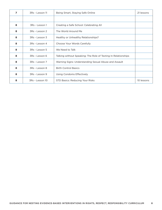| 7 | 3Rs - Lesson 11 | Being Smart, Staying Safe Online                               | 21 lessons |
|---|-----------------|----------------------------------------------------------------|------------|
|   |                 |                                                                |            |
| 8 | 3Rs - Lesson 1  | Creating a Safe School: Celebrating All                        |            |
| 8 | 3Rs - Lesson 2  | The World Around Me                                            |            |
| 8 | 3Rs - Lesson 3  | Healthy or Unhealthy Relationships?                            |            |
| 8 | 3Rs - Lesson 4  | Choose Your Words Carefully                                    |            |
| 8 | 3Rs - Lesson 5  | We Need to Talk                                                |            |
| 8 | 3Rs - Lesson 6  | Talking without Speaking: The Role of Texting In Relationships |            |
| 8 | 3Rs - Lesson 7  | Warning Signs: Understanding Sexual Abuse and Assault          |            |
| 8 | 3Rs - Lesson 8  | <b>Birth Control Basics</b>                                    |            |
| 8 | 3Rs - Lesson 9  | Using Condoms Effectively                                      |            |
| 8 | 3Rs - Lesson 10 | STD Basics: Reducing Your Risks                                | 10 lessons |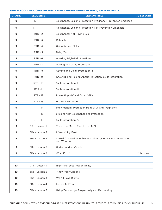## **HIGH SCHOOL: REDUCING THE RISK NESTED WITHIN RIGHTS, RESPECT, RESPONSIBILITY**

| <b>GRADE</b> | <b>SEQUENCE</b> | <b>LESSON TITLE</b>                                                            | <b>39 LESSONS</b> |
|--------------|-----------------|--------------------------------------------------------------------------------|-------------------|
| 9            | $RTR - 1$       | Abstinence, Sex and Protection: Pregnancy Prevention Emphasis                  |                   |
| 9            | $RTR - 1A$      | Abstinence, Sex and Protection: HIV Prevention Emphasis                        |                   |
| 9            | $RTR - 2$       | Abstinence: Not Having Sex                                                     |                   |
| 9            | $RTR - 3$       | Refusals                                                                       |                   |
| 9            | $RTR - 4$       | <b>Using Refusal Skills</b>                                                    |                   |
| 9            | $RTR - 5$       | <b>Delay Tactics</b>                                                           |                   |
| 9            | $RTR - 6$       | Avoiding High-Risk Situations                                                  |                   |
| 9            | $RTR - 7$       | <b>Getting and Using Protection-I</b>                                          |                   |
| 9            | $RTR - 8$       | Getting and Using Protection-II                                                |                   |
| 9            | $RTR - 9$       | Knowing and Talking About Protection: Skills Integration-I                     |                   |
| 9            | <b>RTR - 10</b> | Skills Integration-II                                                          |                   |
| 9            | <b>RTR-11</b>   | Skills Integration-III                                                         |                   |
| 9            | <b>RTR - 12</b> | Preventing HIV and Other STDs                                                  |                   |
| 9            | <b>RTR - 13</b> | <b>HIV Risk Behaviors</b>                                                      |                   |
| 9            | <b>RTR - 14</b> | Implementing Protection from STDs and Pregnancy                                |                   |
| 9            | <b>RTR - 15</b> | Sticking with Abstinence and Protection                                        |                   |
| 9            | <b>RTR - 16</b> | Skills Integration-IV                                                          |                   |
| 9            | 3Rs - Lesson 1  | They Love Me They Love Me Not                                                  |                   |
| 9            | 3Rs - Lesson 3  | It Wasn't My Fault                                                             |                   |
| 9            | 3Rs - Lesson 4  | Sexual Orientation, Behavior & Identity: How I Feel, What I Do<br>and Who I Am |                   |
| 9            | 3Rs - Lesson 5  | <b>Understanding Gender</b>                                                    |                   |
| 9            | 3Rs - Lesson 9  | What If?                                                                       | 21 lessons        |
|              |                 |                                                                                |                   |
| 10           | 3Rs - Lesson 1  | Rights Respect Responsibility                                                  |                   |
| 10           | 3Rs - Lesson 2  | Know Your Options                                                              |                   |
| 10           | 3Rs - Lesson 3  | We All Have Rights                                                             |                   |
| 10           | 3Rs - Lesson 4  | Let Me Tell You                                                                |                   |
| 10           | 3Rs - Lesson 5  | Using Technology Respectfully and Responsibly                                  |                   |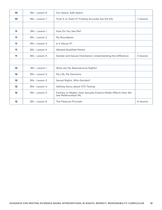| 10      | 3Rs - Lesson 6 | Our Space, Safe Space                                                                   |           |
|---------|----------------|-----------------------------------------------------------------------------------------|-----------|
| 10      | 3Rs - Lesson 7 | Trust It or Trash It? Finding Accurate Sex Ed Info                                      | 7 lessons |
|         |                |                                                                                         |           |
| 11      | 3Rs - Lesson 1 | How Do You See Me?                                                                      |           |
| 11      | 3Rs - Lesson 2 | My Boundaries                                                                           |           |
| 11      | 3Rs - Lesson 3 | Is It Abuse If?                                                                         |           |
| 11      | 3Rs - Lesson 4 | <b>Wanted Qualified Parent</b>                                                          |           |
| 11      | 3Rs - Lesson 5 | Gender and Sexual Orientation: Understanding the Difference                             | 5 lessons |
|         |                |                                                                                         |           |
| 12      | 3Rs - Lesson 1 | What are My Reproductive Rights?                                                        |           |
| 12      | 3Rs - Lesson 2 | My Life, My Decisions                                                                   |           |
| 12      | 3Rs - Lesson 3 | Sexual Rights: Who Decides?                                                             |           |
| 12      | 3Rs - Lesson 4 | Getting Savvy about STD Testing                                                         |           |
| $12 \,$ | 3Rs - Lesson 5 | Fantasy or Reality: How Sexually Explicit Media Affects How We<br>See Relationships IRL |           |
| 12      | 3Rs - Lesson 6 | The Pleasure Principle                                                                  | 6 lessons |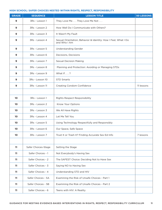## **HIGH SCHOOL: SAFER CHOICES NESTED WITHIN RIGHTS, RESPECT, RESPONSIBILITY**

| <b>GRADE</b> | <b>SEQUENCE</b>     | <b>LESSON TITLE</b>                                                            | <b>50 LESSONS</b> |
|--------------|---------------------|--------------------------------------------------------------------------------|-------------------|
| 9            | 3Rs - Lesson 1      | They Love Me They Love Me Not                                                  |                   |
| 9            | 3Rs - Lesson 2      | How Well Do I Communicate with Others?                                         |                   |
| 9            | 3Rs - Lesson 3      | It Wasn't My Fault                                                             |                   |
| 9            | 3Rs - Lesson 4      | Sexual Orientation, Behavior & Identity: How I Feel, What I Do<br>and Who I Am |                   |
| 9            | 3Rs - Lesson 5      | <b>Understanding Gender</b>                                                    |                   |
| 9            | 3Rs - Lesson 6      | Decisions, Decisions                                                           |                   |
| 9            | 3Rs - Lesson 7      | <b>Sexual Decision Making</b>                                                  |                   |
| 9            | 3Rs - Lesson 8      | Planning and Protection: Avoiding or Managing STDs                             |                   |
| 9            | 3Rs - Lesson 9      | What If?                                                                       |                   |
| 9            | 3Rs - Lesson 10     | <b>STD Smarts</b>                                                              |                   |
| 9            | 3Rs - Lesson 11     | Creating Condom Confidence                                                     | 11 lessons        |
|              |                     |                                                                                |                   |
| 10           | 3Rs - Lesson 1      | Rights Respect Responsibility                                                  |                   |
| 10           | 3Rs - Lesson 2      | Know Your Options                                                              |                   |
| 10           | 3Rs - Lesson 3      | We All Have Rights                                                             |                   |
| 10           | 3Rs - Lesson 4      | Let Me Tell You                                                                |                   |
| 10           | 3Rs - Lesson 5      | Using Technology Respectfully and Responsibly                                  |                   |
| 10           | 3Rs - Lesson 6      | Our Space, Safe Space                                                          |                   |
| 10           | 3Rs - Lesson 7      | Trust It or Trash It? Finding Accurate Sex Ed Info                             | 7 lessons         |
|              |                     |                                                                                |                   |
| 11           | Safer Choices-Stage | Setting the Stage                                                              |                   |
| 11           | Safer Choices - 1   | Not Everybody's Having Sex                                                     |                   |
| 11           | Safer Choices - 2   | The SAFEST Choice: Deciding Not to Have Sex                                    |                   |
| 11           | Safer Choices - 3   | Saying NO to Having Sex                                                        |                   |
| 11           | Safer Choices - 4   | Understanding STD and HIV                                                      |                   |
| 11           | Safer Choices - 5A  | Examining the Risk of Unsafe Choices - Part 1                                  |                   |
| 11           | Safer Choices - 5B  | Examining the Risk of Unsafe Choices - Part 2                                  |                   |
| 11           | Safer Choices - 6   | Teens with HIV: A Reality                                                      |                   |